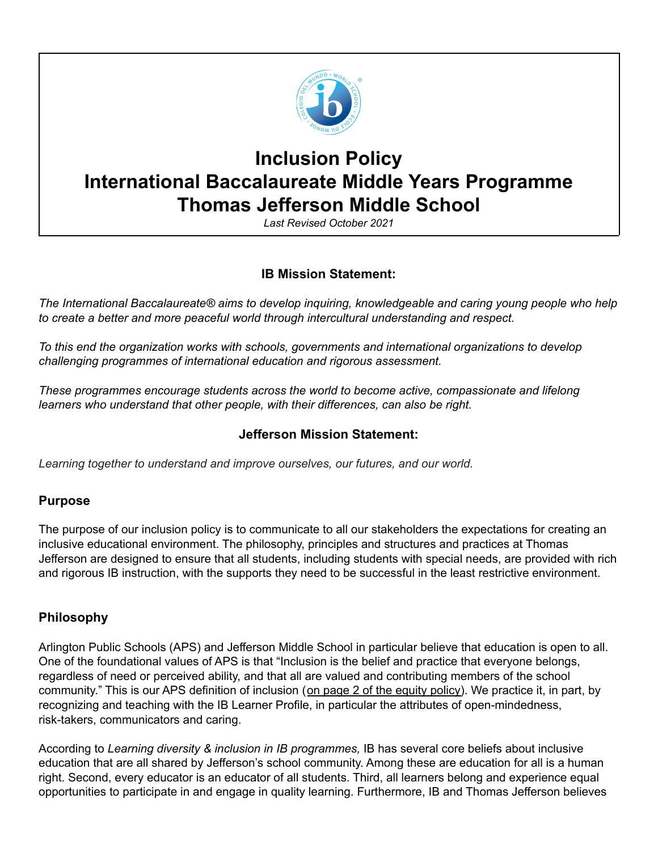

# **Inclusion Policy International Baccalaureate Middle Years Programme Thomas Jefferson Middle School**

*Last Revised October 2021*

# **IB Mission Statement:**

*The International Baccalaureate® aims to develop inquiring, knowledgeable and caring young people who help to create a better and more peaceful world through intercultural understanding and respect.*

*To this end the organization works with schools, governments and international organizations to develop challenging programmes of international education and rigorous assessment.*

*These programmes encourage students across the world to become active, compassionate and lifelong learners who understand that other people, with their differences, can also be right.*

# **Jefferson Mission Statement:**

*Learning together to understand and improve ourselves, our futures, and our world.*

# **Purpose**

The purpose of our inclusion policy is to communicate to all our stakeholders the expectations for creating an inclusive educational environment. The philosophy, principles and structures and practices at Thomas Jefferson are designed to ensure that all students, including students with special needs, are provided with rich and rigorous IB instruction, with the supports they need to be successful in the least restrictive environment.

# **Philosophy**

Arlington Public Schools (APS) and Jefferson Middle School in particular believe that education is open to all. One of the foundational values of APS is that "Inclusion is the belief and practice that everyone belongs, regardless of need or perceived ability, and that all are valued and contributing members of the school community." This is our APS definition of inclusion (on page 2 of the [equity](https://go.boarddocs.com/vsba/arlington/Board.nsf/files/BSPM585985FA/$file/A-30%20Equity.pdf) policy). We practice it, in part, by recognizing and teaching with the IB Learner Profile, in particular the attributes of open-mindedness, risk-takers, communicators and caring.

According to *Learning diversity & inclusion in IB programmes,* IB has several core beliefs about inclusive education that are all shared by Jefferson's school community. Among these are education for all is a human right. Second, every educator is an educator of all students. Third, all learners belong and experience equal opportunities to participate in and engage in quality learning. Furthermore, IB and Thomas Jefferson believes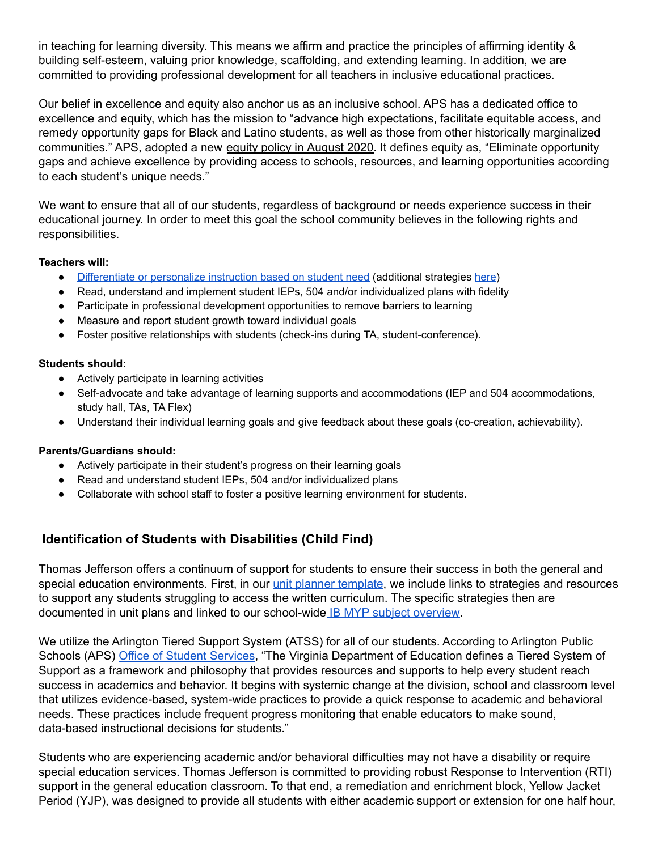in teaching for learning diversity. This means we affirm and practice the principles of affirming identity & building self-esteem, valuing prior knowledge, scaffolding, and extending learning. In addition, we are committed to providing professional development for all teachers in inclusive educational practices.

Our belief in excellence and equity also anchor us as an inclusive school. APS has a dedicated office to excellence and equity, which has the mission to "advance high expectations, facilitate equitable access, and remedy opportunity gaps for Black and Latino students, as well as those from other historically marginalized communities." APS, adopted a new equity policy in [August](https://go.boarddocs.com/vsba/arlington/Board.nsf/files/BSPM585985FA/$file/A-30%20Equity.pdf) 2020. It defines equity as, "Eliminate opportunity gaps and achieve excellence by providing access to schools, resources, and learning opportunities according to each student's unique needs."

We want to ensure that all of our students, regardless of background or needs experience success in their educational journey. In order to meet this goal the school community believes in the following rights and responsibilities.

#### **Teachers will:**

- [Differentiate](https://pdo.ascd.org/LMSCourses/PD11OC115M/media/DI-Intro_M4_Reading_Key_Elements.pdf) or personalize instruction based on student need (additional strategies [here\)](https://docs.google.com/document/d/1eDANMdPiXg80s8e-0FFhY9Kygqr2lg2exWqFL2qhjUU/edit)
- Read, understand and implement student IEPs, 504 and/or individualized plans with fidelity
- Participate in professional development opportunities to remove barriers to learning
- Measure and report student growth toward individual goals
- Foster positive relationships with students (check-ins during TA, student-conference).

#### **Students should:**

- Actively participate in learning activities
- Self-advocate and take advantage of learning supports and accommodations (IEP and 504 accommodations, study hall, TAs, TA Flex)
- Understand their individual learning goals and give feedback about these goals (co-creation, achievability).

#### **Parents/Guardians should:**

- Actively participate in their student's progress on their learning goals
- Read and understand student IEPs, 504 and/or individualized plans
- Collaborate with school staff to foster a positive learning environment for students.

# **Identification of Students with Disabilities (Child Find)**

Thomas Jefferson offers a continuum of support for students to ensure their success in both the general and special education environments. First, in our unit planner [template,](https://docs.google.com/document/d/1nRbJ9_E2IWCf7t96r6hg8FqqNl9QXbpl4Fsn_2bbkOQ/edit) we include links to strategies and resources to support any students struggling to access the written curriculum. The specific strategies then are documented in unit plans and linked to our school-wide IB MYP subject [overview](https://docs.google.com/spreadsheets/d/1cMQVKZanxArNhzuWIg-wPvoGhuFvoNuc8rZ7eVn48l8/edit#gid=1695287912).

We utilize the Arlington Tiered Support System (ATSS) for all of our students. According to Arlington Public Schools (APS) Office of Student [Services](https://www.apsva.us/student-services/arlington-tiered-system-of-support-atss/), "The Virginia Department of Education defines a Tiered System of Support as a framework and philosophy that provides resources and supports to help every student reach success in academics and behavior. It begins with systemic change at the division, school and classroom level that utilizes evidence-based, system-wide practices to provide a quick response to academic and behavioral needs. These practices include frequent progress monitoring that enable educators to make sound, data-based instructional decisions for students."

Students who are experiencing academic and/or behavioral difficulties may not have a disability or require special education services. Thomas Jefferson is committed to providing robust Response to Intervention (RTI) support in the general education classroom. To that end, a remediation and enrichment block, Yellow Jacket Period (YJP), was designed to provide all students with either academic support or extension for one half hour,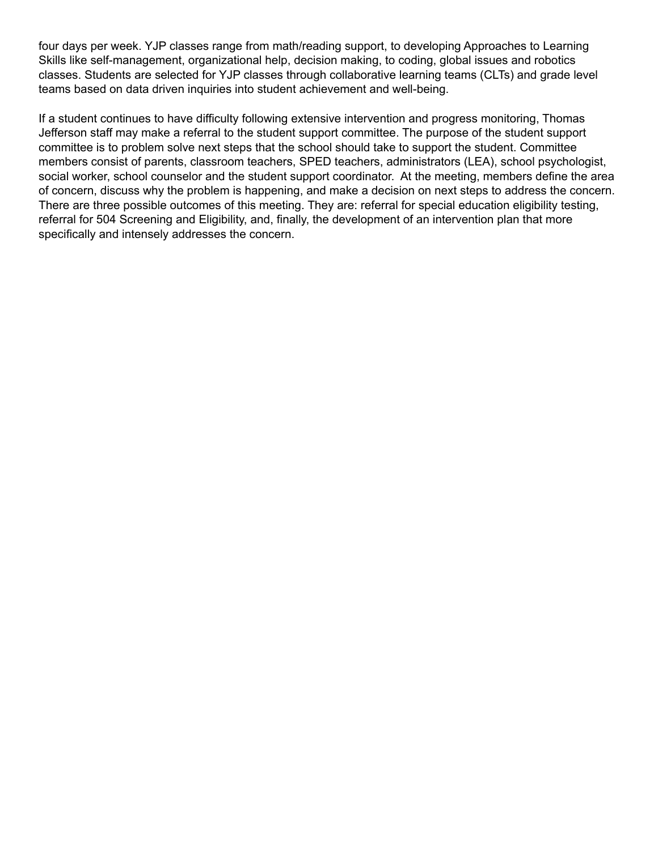four days per week. YJP classes range from math/reading support, to developing Approaches to Learning Skills like self-management, organizational help, decision making, to coding, global issues and robotics classes. Students are selected for YJP classes through collaborative learning teams (CLTs) and grade level teams based on data driven inquiries into student achievement and well-being.

If a student continues to have difficulty following extensive intervention and progress monitoring, Thomas Jefferson staff may make a referral to the student support committee. The purpose of the student support committee is to problem solve next steps that the school should take to support the student. Committee members consist of parents, classroom teachers, SPED teachers, administrators (LEA), school psychologist, social worker, school counselor and the student support coordinator. At the meeting, members define the area of concern, discuss why the problem is happening, and make a decision on next steps to address the concern. There are three possible outcomes of this meeting. They are: referral for special education eligibility testing, referral for 504 Screening and Eligibility, and, finally, the development of an intervention plan that more specifically and intensely addresses the concern.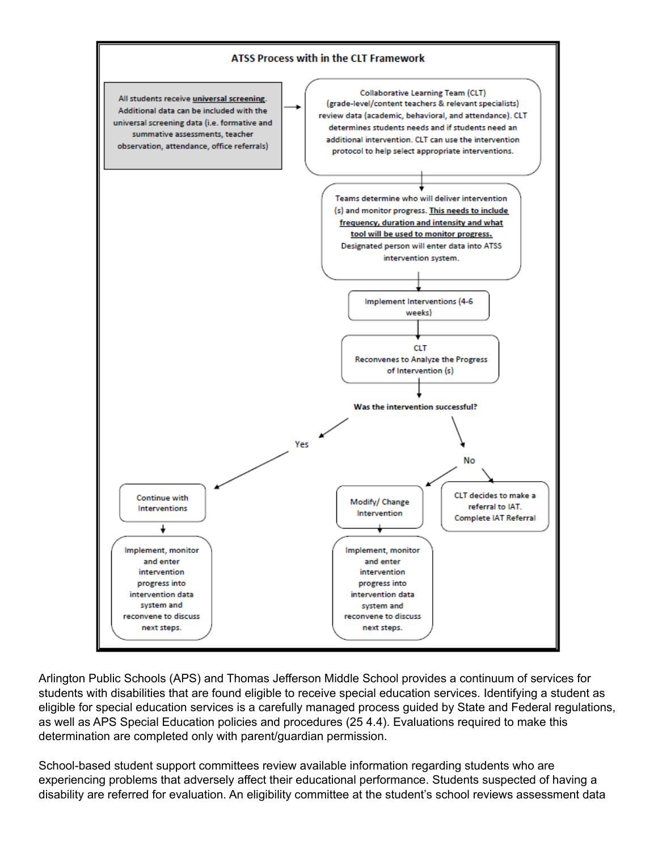

Arlington Public Schools (APS) and Thomas Jefferson Middle School provides a continuum of services for students with disabilities that are found eligible to receive special education services. Identifying a student as eligible for special education services is a carefully managed process guided by State and Federal regulations, as well as APS Special Education policies and procedures (25 4.4). Evaluations required to make this determination are completed only with parent/guardian permission.

School-based student support committees review available information regarding students who are experiencing problems that adversely affect their educational performance. Students suspected of having a disability are referred for evaluation. An eligibility committee at the student's school reviews assessment data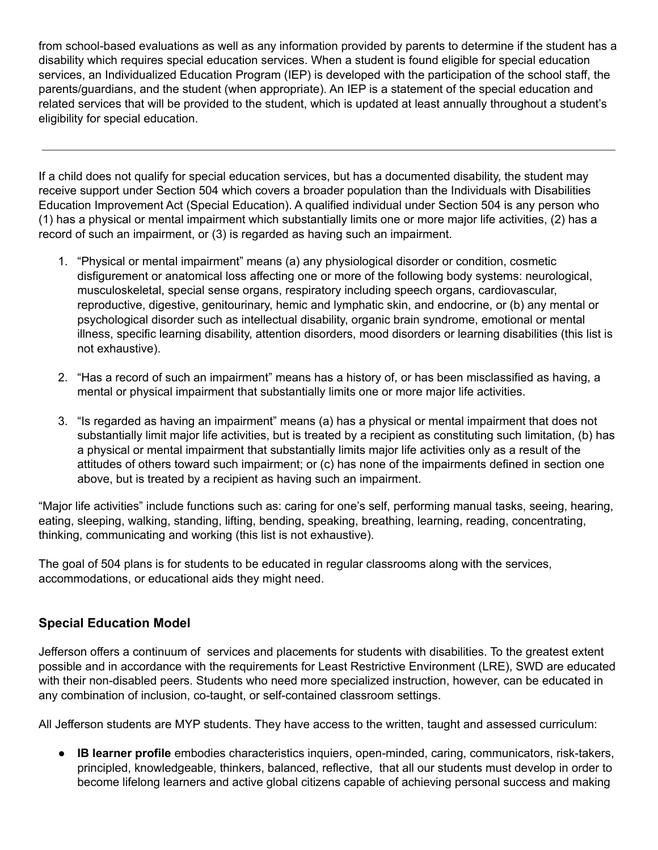from school-based evaluations as well as any information provided by parents to determine if the student has a disability which requires special education services. When a student is found eligible for special education services, an Individualized Education Program (IEP) is developed with the participation of the school staff, the parents/guardians, and the student (when appropriate). An IEP is a statement of the special education and related services that will be provided to the student, which is updated at least annually throughout a student's eligibility for special education.

If a child does not qualify for special education services, but has a documented disability, the student may receive support under Section 504 which covers a broader population than the Individuals with Disabilities Education Improvement Act (Special Education). A qualified individual under Section 504 is any person who (1) has a physical or mental impairment which substantially limits one or more major life activities, (2) has a record of such an impairment, or (3) is regarded as having such an impairment.

- 1. "Physical or mental impairment" means (a) any physiological disorder or condition, cosmetic disfigurement or anatomical loss affecting one or more of the following body systems: neurological, musculoskeletal, special sense organs, respiratory including speech organs, cardiovascular, reproductive, digestive, genitourinary, hemic and lymphatic skin, and endocrine, or (b) any mental or psychological disorder such as intellectual disability, organic brain syndrome, emotional or mental illness, specific learning disability, attention disorders, mood disorders or learning disabilities (this list is not exhaustive).
- 2. "Has a record of such an impairment" means has a history of, or has been misclassified as having, a mental or physical impairment that substantially limits one or more major life activities.
- 3. "Is regarded as having an impairment" means (a) has a physical or mental impairment that does not substantially limit major life activities, but is treated by a recipient as constituting such limitation, (b) has a physical or mental impairment that substantially limits major life activities only as a result of the attitudes of others toward such impairment; or (c) has none of the impairments defined in section one above, but is treated by a recipient as having such an impairment.

"Major life activities" include functions such as: caring for one's self, performing manual tasks, seeing, hearing, eating, sleeping, walking, standing, lifting, bending, speaking, breathing, learning, reading, concentrating, thinking, communicating and working (this list is not exhaustive).

The goal of 504 plans is for students to be educated in regular classrooms along with the services, accommodations, or educational aids they might need.

# **Special Education Model**

Jefferson offers a continuum of services and placements for students with disabilities. To the greatest extent possible and in accordance with the requirements for Least Restrictive Environment (LRE), SWD are educated with their non-disabled peers. Students who need more specialized instruction, however, can be educated in any combination of inclusion, co-taught, or self-contained classroom settings.

All Jefferson students are MYP students. They have access to the written, taught and assessed curriculum:

● **IB learner profile** embodies characteristics inquiers, open-minded, caring, communicators, risk-takers, principled, knowledgeable, thinkers, balanced, reflective, that all our students must develop in order to become lifelong learners and active global citizens capable of achieving personal success and making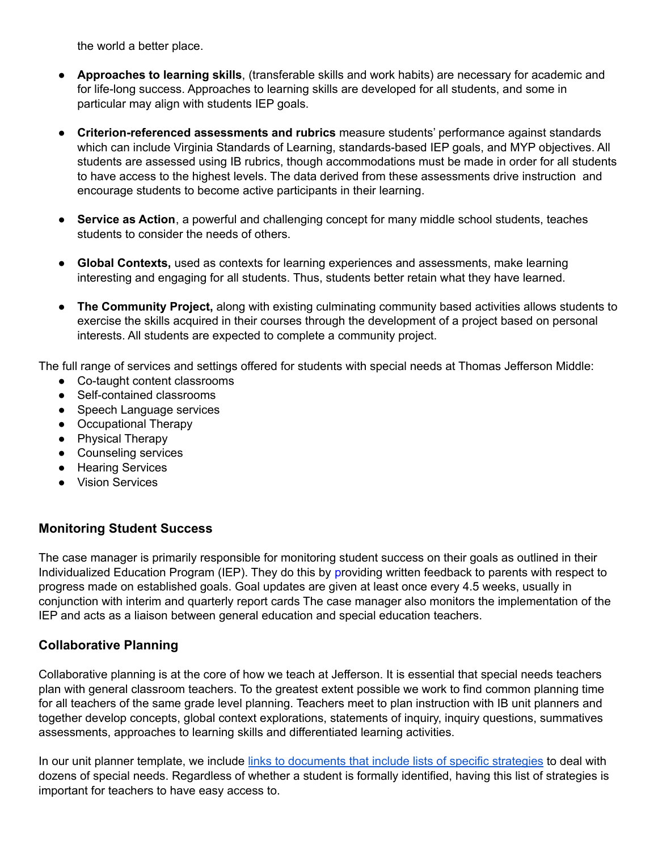the world a better place.

- **Approaches to learning skills**, (transferable skills and work habits) are necessary for academic and for life-long success. Approaches to learning skills are developed for all students, and some in particular may align with students IEP goals.
- **Criterion-referenced assessments and rubrics** measure students' performance against standards which can include Virginia Standards of Learning, standards-based IEP goals, and MYP objectives. All students are assessed using IB rubrics, though accommodations must be made in order for all students to have access to the highest levels. The data derived from these assessments drive instruction and encourage students to become active participants in their learning.
- **Service as Action**, a powerful and challenging concept for many middle school students, teaches students to consider the needs of others.
- **Global Contexts,** used as contexts for learning experiences and assessments, make learning interesting and engaging for all students. Thus, students better retain what they have learned.
- **The Community Project,** along with existing culminating community based activities allows students to exercise the skills acquired in their courses through the development of a project based on personal interests. All students are expected to complete a community project.

The full range of services and settings offered for students with special needs at Thomas Jefferson Middle:

- Co-taught content classrooms
- Self-contained classrooms
- Speech Language services
- Occupational Therapy
- Physical Therapy
- Counseling services
- Hearing Services
- Vision Services

# **Monitoring Student Success**

The case manager is primarily responsible for monitoring student success on their goals as outlined in their Individualized Education Program (IEP). They do this by providing written feedback to parents with respect to progress made on established goals. Goal updates are given at least once every 4.5 weeks, usually in conjunction with interim and quarterly report cards The case manager also monitors the implementation of the IEP and acts as a liaison between general education and special education teachers.

### **Collaborative Planning**

Collaborative planning is at the core of how we teach at Jefferson. It is essential that special needs teachers plan with general classroom teachers. To the greatest extent possible we work to find common planning time for all teachers of the same grade level planning. Teachers meet to plan instruction with IB unit planners and together develop concepts, global context explorations, statements of inquiry, inquiry questions, summatives assessments, approaches to learning skills and differentiated learning activities.

In our unit planner template, we include links to [documents](https://docs.google.com/document/d/1eDANMdPiXg80s8e-0FFhY9Kygqr2lg2exWqFL2qhjUU/edit) that include lists of specific strategies to deal with dozens of special needs. Regardless of whether a student is formally identified, having this list of strategies is important for teachers to have easy access to.